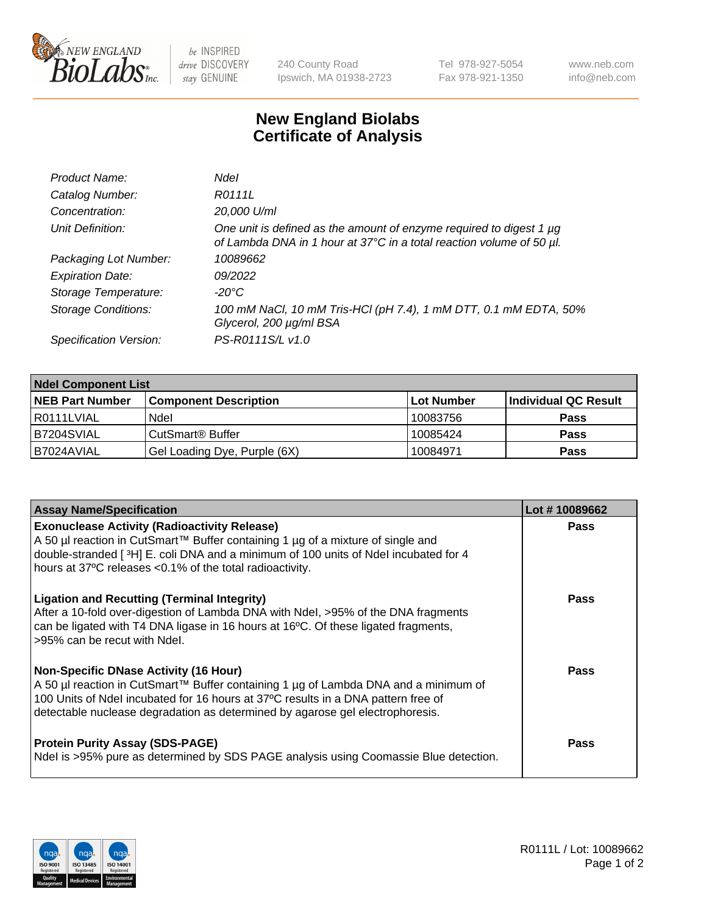

 $be$  INSPIRED drive DISCOVERY stay GENUINE

240 County Road Ipswich, MA 01938-2723 Tel 978-927-5054 Fax 978-921-1350 www.neb.com info@neb.com

## **New England Biolabs Certificate of Analysis**

| Product Name:              | Ndel                                                                                                                                             |
|----------------------------|--------------------------------------------------------------------------------------------------------------------------------------------------|
| Catalog Number:            | R0111L                                                                                                                                           |
| Concentration:             | 20,000 U/ml                                                                                                                                      |
| Unit Definition:           | One unit is defined as the amount of enzyme required to digest 1 $\mu$ g<br>of Lambda DNA in 1 hour at 37°C in a total reaction volume of 50 µl. |
| Packaging Lot Number:      | 10089662                                                                                                                                         |
| <b>Expiration Date:</b>    | 09/2022                                                                                                                                          |
| Storage Temperature:       | -20°C                                                                                                                                            |
| <b>Storage Conditions:</b> | 100 mM NaCl, 10 mM Tris-HCl (pH 7.4), 1 mM DTT, 0.1 mM EDTA, 50%<br>Glycerol, 200 µg/ml BSA                                                      |
| Specification Version:     | PS-R0111S/L v1.0                                                                                                                                 |

| <b>Ndel Component List</b> |                              |            |                      |  |  |
|----------------------------|------------------------------|------------|----------------------|--|--|
| <b>NEB Part Number</b>     | <b>Component Description</b> | Lot Number | Individual QC Result |  |  |
| I R0111LVIAL               | Ndel                         | 10083756   | <b>Pass</b>          |  |  |
| B7204SVIAL                 | CutSmart <sup>®</sup> Buffer | 10085424   | <b>Pass</b>          |  |  |
| IB7024AVIAL                | Gel Loading Dye, Purple (6X) | 10084971   | <b>Pass</b>          |  |  |

| <b>Assay Name/Specification</b>                                                                                                                                                                                                                                                                    | Lot #10089662 |
|----------------------------------------------------------------------------------------------------------------------------------------------------------------------------------------------------------------------------------------------------------------------------------------------------|---------------|
| <b>Exonuclease Activity (Radioactivity Release)</b><br>A 50 µl reaction in CutSmart™ Buffer containing 1 µg of a mixture of single and<br>double-stranded [3H] E. coli DNA and a minimum of 100 units of Ndel incubated for 4<br>hours at 37°C releases <0.1% of the total radioactivity.          | <b>Pass</b>   |
| <b>Ligation and Recutting (Terminal Integrity)</b><br>After a 10-fold over-digestion of Lambda DNA with Ndel, >95% of the DNA fragments<br>can be ligated with T4 DNA ligase in 16 hours at 16 $\degree$ C. Of these ligated fragments,<br>l >95% can be recut with Ndel.                          | Pass          |
| Non-Specific DNase Activity (16 Hour)<br>A 50 µl reaction in CutSmart™ Buffer containing 1 µg of Lambda DNA and a minimum of<br>100 Units of Ndel incubated for 16 hours at 37°C results in a DNA pattern free of<br>detectable nuclease degradation as determined by agarose gel electrophoresis. | <b>Pass</b>   |
| <b>Protein Purity Assay (SDS-PAGE)</b><br>Ndel is >95% pure as determined by SDS PAGE analysis using Coomassie Blue detection.                                                                                                                                                                     | Pass          |